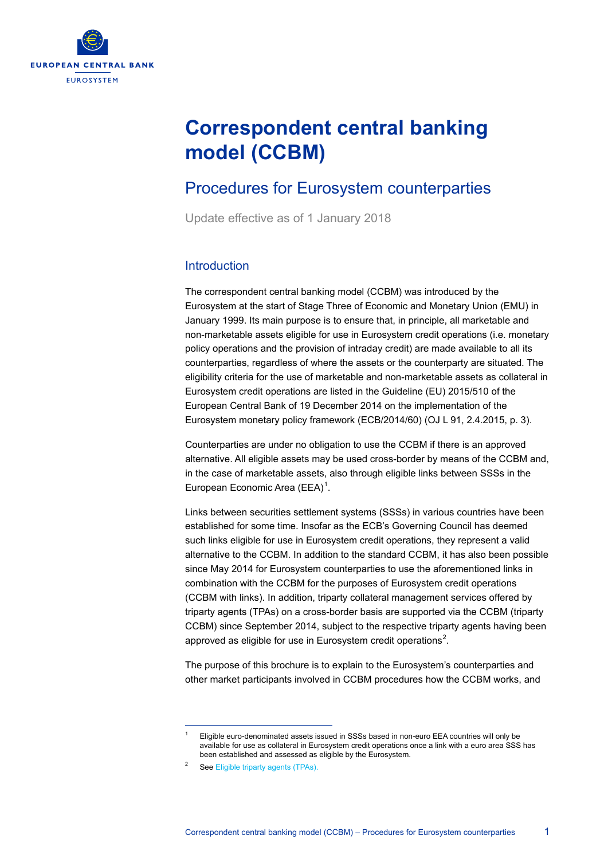

# **Correspondent central banking model (CCBM)**

## Procedures for Eurosystem counterparties

Update effective as of 1 January 2018

#### **Introduction**

The correspondent central banking model (CCBM) was introduced by the Eurosystem at the start of Stage Three of Economic and Monetary Union (EMU) in January 1999. Its main purpose is to ensure that, in principle, all marketable and non-marketable assets eligible for use in Eurosystem credit operations (i.e. monetary policy operations and the provision of intraday credit) are made available to all its counterparties, regardless of where the assets or the counterparty are situated. The eligibility criteria for the use of marketable and non-marketable assets as collateral in Eurosystem credit operations are listed in the Guideline (EU) 2015/510 of the European Central Bank of 19 December 2014 on the implementation of the Eurosystem monetary policy framework (ECB/2014/60) (OJ L 91, 2.4.2015, p. 3).

Counterparties are under no obligation to use the CCBM if there is an approved alternative. All eligible assets may be used cross-border by means of the CCBM and, in the case of marketable assets, also through eligible links between SSSs in the European Economic Area (EEA)<sup>[1](#page-0-0)</sup>.

Links between securities settlement systems (SSSs) in various countries have been established for some time. Insofar as the ECB's Governing Council has deemed such links eligible for use in Eurosystem credit operations, they represent a valid alternative to the CCBM. In addition to the standard CCBM, it has also been possible since May 2014 for Eurosystem counterparties to use the aforementioned links in combination with the CCBM for the purposes of Eurosystem credit operations (CCBM with links). In addition, triparty collateral management services offered by triparty agents (TPAs) on a cross-border basis are supported via the CCBM (triparty CCBM) since September 2014, subject to the respective triparty agents having been approved as eligible for use in Eurosystem credit operations<sup>[2](#page-0-1)</sup>.

The purpose of this brochure is to explain to the Eurosystem's counterparties and other market participants involved in CCBM procedures how the CCBM works, and

<span id="page-0-0"></span> $\overline{a}$ 

<sup>1</sup> Eligible euro-denominated assets issued in SSSs based in non-euro EEA countries will only be available for use as collateral in Eurosystem credit operations once a link with a euro area SSS has been established and assessed as eligible by the Eurosystem.

<span id="page-0-1"></span><sup>&</sup>lt;sup>2</sup> Se[e Eligible triparty agents \(TPAs\).](http://www.ecb.europa.eu/paym/coll/coll/triparty/html/index.en.html)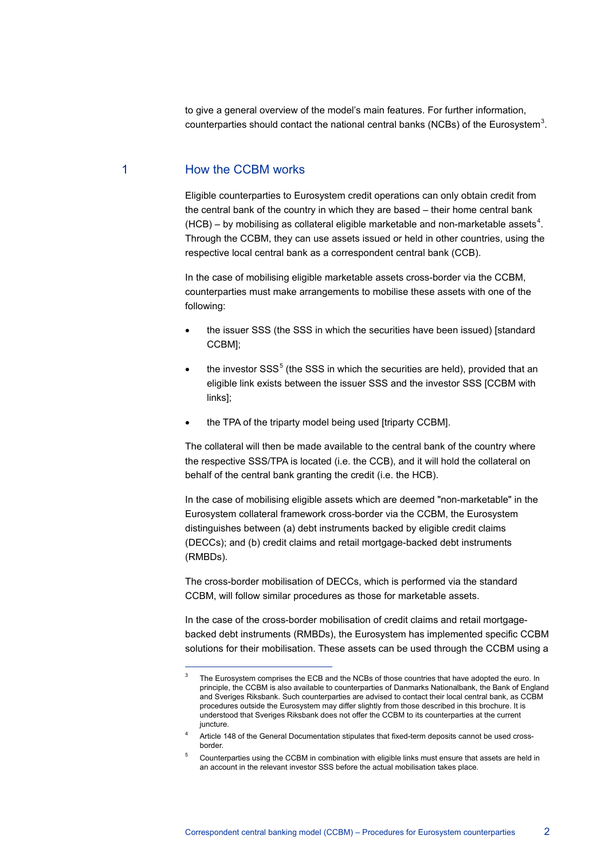to give a general overview of the model's main features. For further information, counterparties should contact the national central banks (NCBs) of the Eurosystem<sup>[3](#page-1-0)</sup>.

#### 1 How the CCBM works

 $\overline{a}$ 

Eligible counterparties to Eurosystem credit operations can only obtain credit from the central bank of the country in which they are based – their home central bank  $(HCB)$  – by mobilising as collateral eligible marketable and non-marketable assets<sup>[4](#page-1-1)</sup>. Through the CCBM, they can use assets issued or held in other countries, using the respective local central bank as a correspondent central bank (CCB).

In the case of mobilising eligible marketable assets cross-border via the CCBM, counterparties must make arrangements to mobilise these assets with one of the following:

- the issuer SSS (the SSS in which the securities have been issued) [standard CCBM];
- the investor  $SSS<sup>5</sup>$  $SSS<sup>5</sup>$  $SSS<sup>5</sup>$  (the SSS in which the securities are held), provided that an eligible link exists between the issuer SSS and the investor SSS [CCBM with links];
- the TPA of the triparty model being used [triparty CCBM].

The collateral will then be made available to the central bank of the country where the respective SSS/TPA is located (i.e. the CCB), and it will hold the collateral on behalf of the central bank granting the credit (i.e. the HCB).

In the case of mobilising eligible assets which are deemed "non-marketable" in the Eurosystem collateral framework cross-border via the CCBM, the Eurosystem distinguishes between (a) debt instruments backed by eligible credit claims (DECCs); and (b) credit claims and retail mortgage-backed debt instruments (RMBDs).

The cross-border mobilisation of DECCs, which is performed via the standard CCBM, will follow similar procedures as those for marketable assets.

In the case of the cross-border mobilisation of credit claims and retail mortgagebacked debt instruments (RMBDs), the Eurosystem has implemented specific CCBM solutions for their mobilisation. These assets can be used through the CCBM using a

<span id="page-1-0"></span><sup>3</sup> The Eurosystem comprises the ECB and the NCBs of those countries that have adopted the euro. In principle, the CCBM is also available to counterparties of Danmarks Nationalbank, the Bank of England and Sveriges Riksbank. Such counterparties are advised to contact their local central bank, as CCBM procedures outside the Eurosystem may differ slightly from those described in this brochure. It is understood that Sveriges Riksbank does not offer the CCBM to its counterparties at the current juncture.

<span id="page-1-1"></span><sup>4</sup> Article 148 of the General Documentation stipulates that fixed-term deposits cannot be used crossborder.

<span id="page-1-2"></span><sup>5</sup> Counterparties using the CCBM in combination with eligible links must ensure that assets are held in an account in the relevant investor SSS before the actual mobilisation takes place.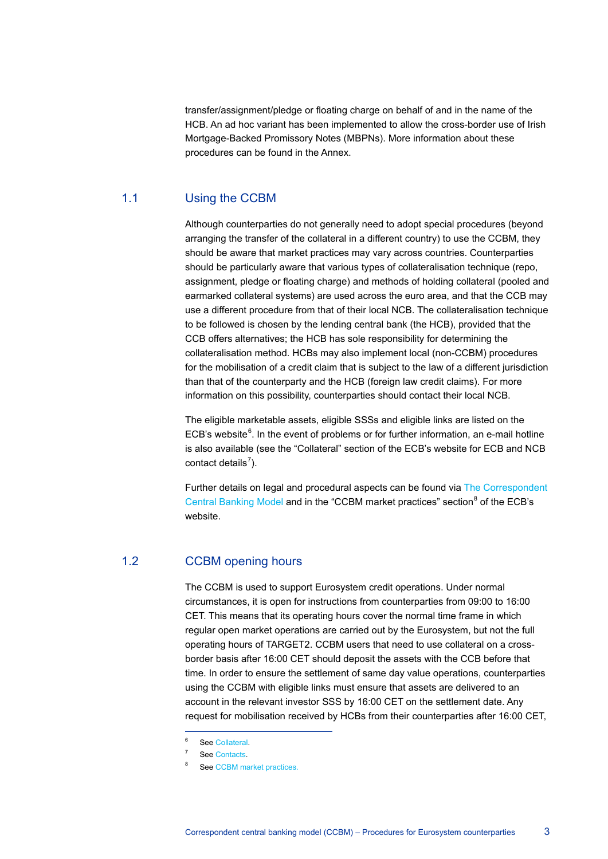transfer/assignment/pledge or floating charge on behalf of and in the name of the HCB. An ad hoc variant has been implemented to allow the cross-border use of Irish Mortgage-Backed Promissory Notes (MBPNs). More information about these procedures can be found in the Annex.

#### 1.1 Using the CCBM

Although counterparties do not generally need to adopt special procedures (beyond arranging the transfer of the collateral in a different country) to use the CCBM, they should be aware that market practices may vary across countries. Counterparties should be particularly aware that various types of collateralisation technique (repo, assignment, pledge or floating charge) and methods of holding collateral (pooled and earmarked collateral systems) are used across the euro area, and that the CCB may use a different procedure from that of their local NCB. The collateralisation technique to be followed is chosen by the lending central bank (the HCB), provided that the CCB offers alternatives; the HCB has sole responsibility for determining the collateralisation method. HCBs may also implement local (non-CCBM) procedures for the mobilisation of a credit claim that is subject to the law of a different jurisdiction than that of the counterparty and the HCB (foreign law credit claims). For more information on this possibility, counterparties should contact their local NCB.

The eligible marketable assets, eligible SSSs and eligible links are listed on the ECB's website $<sup>6</sup>$  $<sup>6</sup>$  $<sup>6</sup>$ . In the event of problems or for further information, an e-mail hotline</sup> is also available (see the "Collateral" section of the ECB's website for ECB and NCB contact details<sup>[7](#page-2-1)</sup>).

Further details on legal and procedural aspects can be found via [The Correspondent](http://www.ecb.europa.eu/paym/ccbm/html/index.en.html)  [Central Banking Model](http://www.ecb.europa.eu/paym/ccbm/html/index.en.html) and in the "CCBM market practices" section<sup>[8](#page-2-2)</sup> of the ECB's website.

#### 1.2 CCBM opening hours

The CCBM is used to support Eurosystem credit operations. Under normal circumstances, it is open for instructions from counterparties from 09:00 to 16:00 CET. This means that its operating hours cover the normal time frame in which regular open market operations are carried out by the Eurosystem, but not the full operating hours of TARGET2. CCBM users that need to use collateral on a crossborder basis after 16:00 CET should deposit the assets with the CCB before that time. In order to ensure the settlement of same day value operations, counterparties using the CCBM with eligible links must ensure that assets are delivered to an account in the relevant investor SSS by 16:00 CET on the settlement date. Any request for mobilisation received by HCBs from their counterparties after 16:00 CET,

 $\overline{a}$ 

Se[e Collateral.](http://www.ecb.europa.eu/paym/coll/html/index.en.html)

<span id="page-2-1"></span><span id="page-2-0"></span><sup>7</sup> Se[e Contacts.](http://www.ecb.europa.eu/paym/coll/contacts/html/index.en.html)

<span id="page-2-2"></span>Se[e CCBM market practices.](http://www.ecb.europa.eu/paym/coll/coll/ncbpractices/html/index.en.html)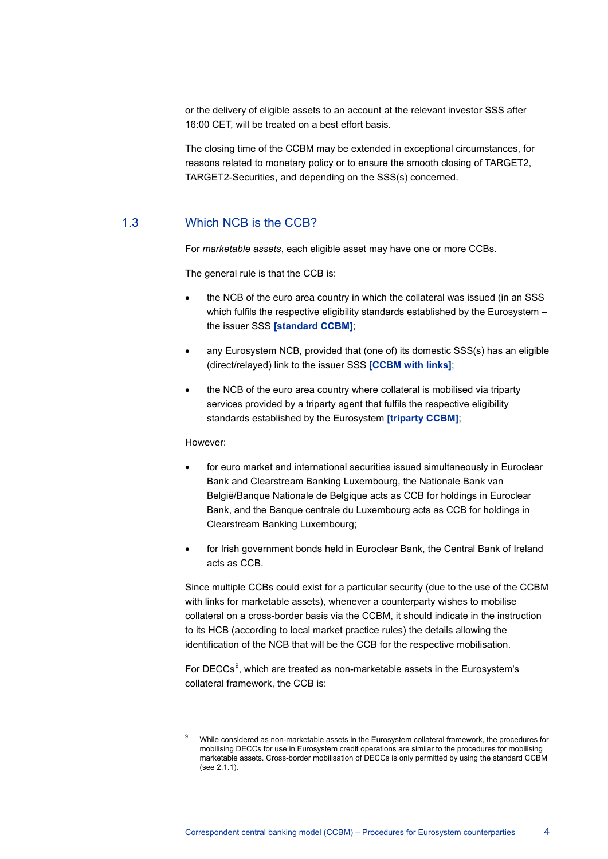or the delivery of eligible assets to an account at the relevant investor SSS after 16:00 CET, will be treated on a best effort basis.

The closing time of the CCBM may be extended in exceptional circumstances, for reasons related to monetary policy or to ensure the smooth closing of TARGET2, TARGET2-Securities, and depending on the SSS(s) concerned.

#### 1.3 Which NCB is the CCB?

For *marketable assets*, each eligible asset may have one or more CCBs.

The general rule is that the CCB is:

- the NCB of the euro area country in which the collateral was issued (in an SSS which fulfils the respective eligibility standards established by the Eurosystem the issuer SSS **[standard CCBM]**;
- any Eurosystem NCB, provided that (one of) its domestic SSS(s) has an eligible (direct/relayed) link to the issuer SSS **[CCBM with links]**;
- the NCB of the euro area country where collateral is mobilised via triparty services provided by a triparty agent that fulfils the respective eligibility standards established by the Eurosystem **[triparty CCBM]**;

#### However:

 $\overline{a}$ 

- for euro market and international securities issued simultaneously in Euroclear Bank and Clearstream Banking Luxembourg, the Nationale Bank van België/Banque Nationale de Belgique acts as CCB for holdings in Euroclear Bank, and the Banque centrale du Luxembourg acts as CCB for holdings in Clearstream Banking Luxembourg;
- for Irish government bonds held in Euroclear Bank, the Central Bank of Ireland acts as CCB.

Since multiple CCBs could exist for a particular security (due to the use of the CCBM with links for marketable assets), whenever a counterparty wishes to mobilise collateral on a cross-border basis via the CCBM, it should indicate in the instruction to its HCB (according to local market practice rules) the details allowing the identification of the NCB that will be the CCB for the respective mobilisation.

For DECCs<sup>[9](#page-3-0)</sup>, which are treated as non-marketable assets in the Eurosystem's collateral framework, the CCB is:

<span id="page-3-0"></span>While considered as non-marketable assets in the Eurosystem collateral framework, the procedures for mobilising DECCs for use in Eurosystem credit operations are similar to the procedures for mobilising marketable assets. Cross-border mobilisation of DECCs is only permitted by using the standard CCBM  $($ See  $2.1.1)$ .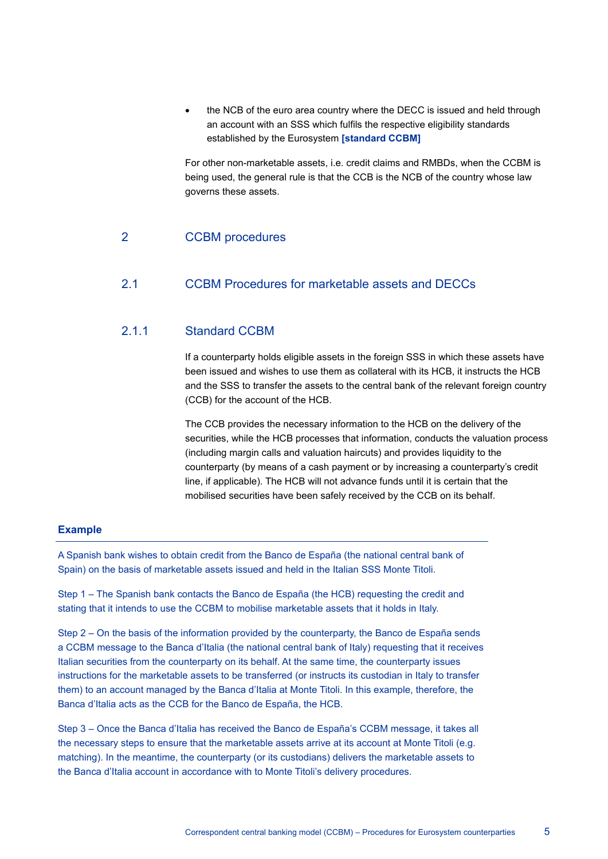• the NCB of the euro area country where the DECC is issued and held through an account with an SSS which fulfils the respective eligibility standards established by the Eurosystem **[standard CCBM]**

For other non-marketable assets, i.e. credit claims and RMBDs, when the CCBM is being used, the general rule is that the CCB is the NCB of the country whose law governs these assets.

#### 2 CCBM procedures

#### 2.1 CCBM Procedures for marketable assets and DECCs

## 2.1.1 Standard CCBM

If a counterparty holds eligible assets in the foreign SSS in which these assets have been issued and wishes to use them as collateral with its HCB, it instructs the HCB and the SSS to transfer the assets to the central bank of the relevant foreign country (CCB) for the account of the HCB.

The CCB provides the necessary information to the HCB on the delivery of the securities, while the HCB processes that information, conducts the valuation process (including margin calls and valuation haircuts) and provides liquidity to the counterparty (by means of a cash payment or by increasing a counterparty's credit line, if applicable). The HCB will not advance funds until it is certain that the mobilised securities have been safely received by the CCB on its behalf.

#### **Example**

A Spanish bank wishes to obtain credit from the Banco de España (the national central bank of Spain) on the basis of marketable assets issued and held in the Italian SSS Monte Titoli.

Step 1 – The Spanish bank contacts the Banco de España (the HCB) requesting the credit and stating that it intends to use the CCBM to mobilise marketable assets that it holds in Italy.

Step 2 – On the basis of the information provided by the counterparty, the Banco de España sends a CCBM message to the Banca d'Italia (the national central bank of Italy) requesting that it receives Italian securities from the counterparty on its behalf. At the same time, the counterparty issues instructions for the marketable assets to be transferred (or instructs its custodian in Italy to transfer them) to an account managed by the Banca d'Italia at Monte Titoli. In this example, therefore, the Banca d'Italia acts as the CCB for the Banco de España, the HCB.

Step 3 – Once the Banca d'Italia has received the Banco de España's CCBM message, it takes all the necessary steps to ensure that the marketable assets arrive at its account at Monte Titoli (e.g. matching). In the meantime, the counterparty (or its custodians) delivers the marketable assets to the Banca d'Italia account in accordance with to Monte Titoli's delivery procedures.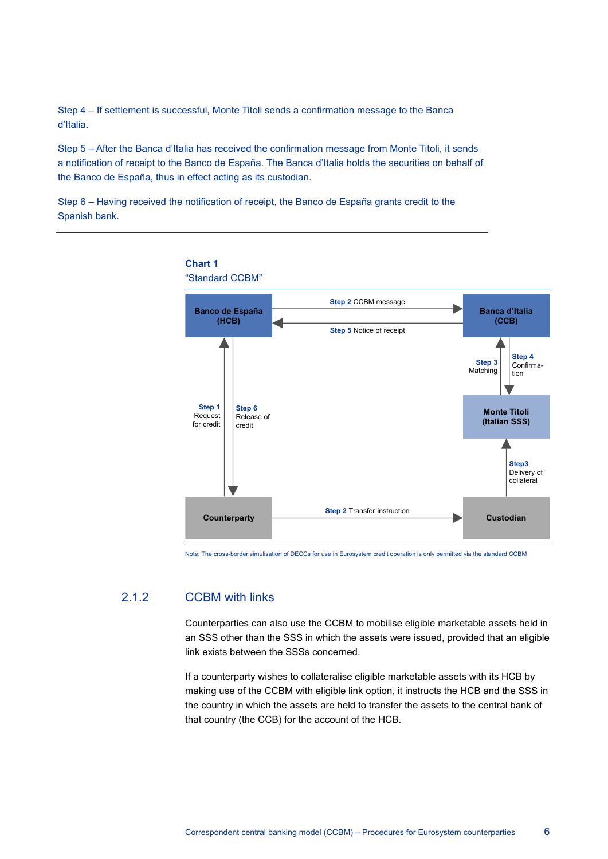Step 4 – If settlement is successful, Monte Titoli sends a confirmation message to the Banca d'Italia.

Step 5 – After the Banca d'Italia has received the confirmation message from Monte Titoli, it sends a notification of receipt to the Banco de España. The Banca d'Italia holds the securities on behalf of the Banco de España, thus in effect acting as its custodian.

Step 6 – Having received the notification of receipt, the Banco de España grants credit to the Spanish bank.



Note: The cross-border simulisation of DECCs for use in Eurosystem credit operation is only permitted via the standard CCBM

## 2.1.2 CCBM with links

Counterparties can also use the CCBM to mobilise eligible marketable assets held in an SSS other than the SSS in which the assets were issued, provided that an eligible link exists between the SSSs concerned.

If a counterparty wishes to collateralise eligible marketable assets with its HCB by making use of the CCBM with eligible link option, it instructs the HCB and the SSS in the country in which the assets are held to transfer the assets to the central bank of that country (the CCB) for the account of the HCB.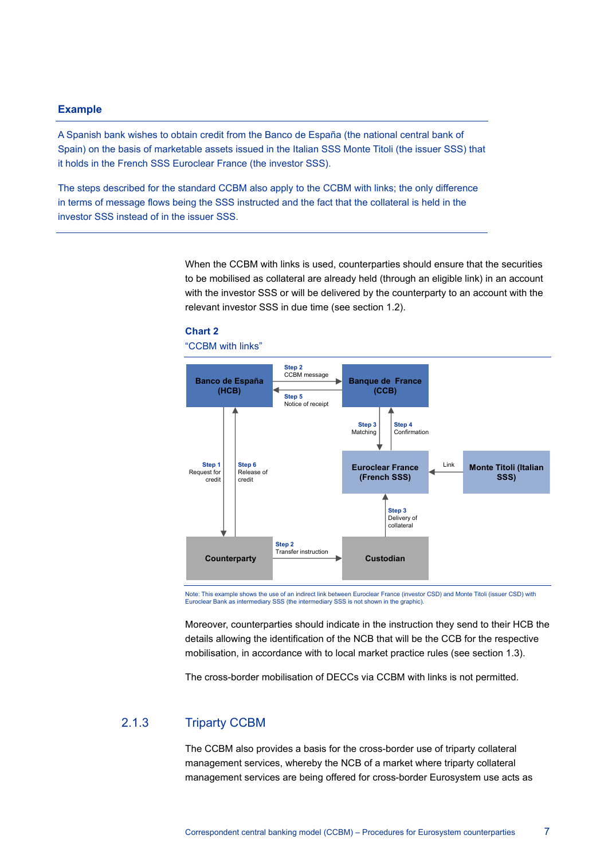#### **Example**

A Spanish bank wishes to obtain credit from the Banco de España (the national central bank of Spain) on the basis of marketable assets issued in the Italian SSS Monte Titoli (the issuer SSS) that it holds in the French SSS Euroclear France (the investor SSS).

The steps described for the standard CCBM also apply to the CCBM with links; the only difference in terms of message flows being the SSS instructed and the fact that the collateral is held in the investor SSS instead of in the issuer SSS.

> When the CCBM with links is used, counterparties should ensure that the securities to be mobilised as collateral are already held (through an eligible link) in an account with the investor SSS or will be delivered by the counterparty to an account with the relevant investor SSS in due time (see section 1.2).





Note: This example shows the use of an indirect link between Euroclear France (investor CSD) and Monte Titoli (issuer CSD) with Euroclear Bank as intermediary SSS (the intermediary SSS is not shown in the graphic).

Moreover, counterparties should indicate in the instruction they send to their HCB the details allowing the identification of the NCB that will be the CCB for the respective mobilisation, in accordance with to local market practice rules (see section 1.3).

The cross-border mobilisation of DECCs via CCBM with links is not permitted.

## 2.1.3 Triparty CCBM

The CCBM also provides a basis for the cross-border use of triparty collateral management services, whereby the NCB of a market where triparty collateral management services are being offered for cross-border Eurosystem use acts as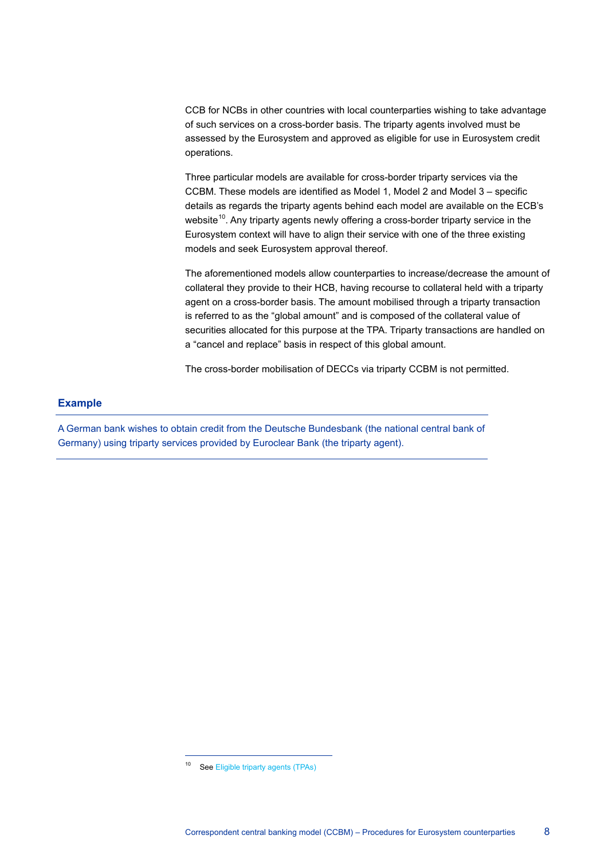CCB for NCBs in other countries with local counterparties wishing to take advantage of such services on a cross-border basis. The triparty agents involved must be assessed by the Eurosystem and approved as eligible for use in Eurosystem credit operations.

Three particular models are available for cross-border triparty services via the CCBM. These models are identified as Model 1, Model 2 and Model 3 – specific details as regards the triparty agents behind each model are available on the ECB's website<sup>10</sup>. Any triparty agents newly offering a cross-border triparty service in the Eurosystem context will have to align their service with one of the three existing models and seek Eurosystem approval thereof.

The aforementioned models allow counterparties to increase/decrease the amount of collateral they provide to their HCB, having recourse to collateral held with a triparty agent on a cross-border basis. The amount mobilised through a triparty transaction is referred to as the "global amount" and is composed of the collateral value of securities allocated for this purpose at the TPA. Triparty transactions are handled on a "cancel and replace" basis in respect of this global amount.

The cross-border mobilisation of DECCs via triparty CCBM is not permitted.

#### **Example**

A German bank wishes to obtain credit from the Deutsche Bundesbank (the national central bank of Germany) using triparty services provided by Euroclear Bank (the triparty agent).

 $\overline{a}$ 

<span id="page-7-0"></span><sup>10</sup> Se[e Eligible triparty agents \(TPAs\)](http://www.ecb.europa.eu/paym/coll/coll/triparty/html/index.en.html)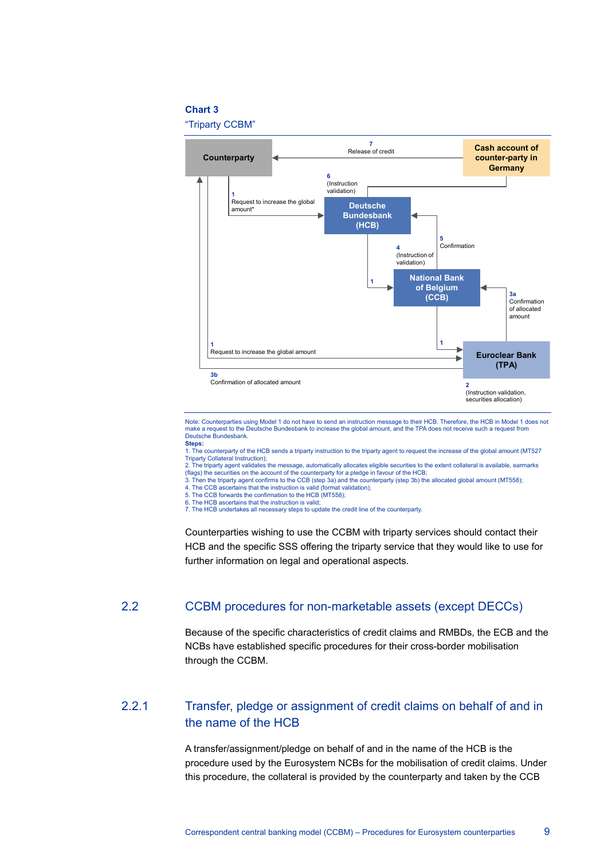#### **Chart 3**

"Triparty CCBM"



Note: Counterparties using Model 1 do not have to send an instruction message to their HCB. Therefore, the HCB in Model 1 does not make a request to the Deutsche Bundesbank to increase the global amount, and the TPA does not receive such a request from Deutsche Bundesbank. **Steps:**

1. The counterparty of the HCB sends a triparty instruction to the triparty agent to request the increase of the global amount (MT527 Triparty Collateral Instruction);

2. The triparty agent validates the message, automatically allocates eligible securities to the extent collateral is available, earmarks<br>(flags) the securities on the account of the counterparty for a pledge in favour of t

3. Then the triparty agent confirms to the CCB (step 3a) and the counterparty (step 3b) the allocated global amount (MT558);

4. The CCB ascertains that the instruction is valid (format validation);

5. The CCB forwards the confirmation to the HCB (MT558);

6. The HCB ascertains that the instruction is valid; 7. The HCB undertakes all necessary steps to update the credit line of the counterparty.

Counterparties wishing to use the CCBM with triparty services should contact their HCB and the specific SSS offering the triparty service that they would like to use for further information on legal and operational aspects.

### 2.2 CCBM procedures for non-marketable assets (except DECCs)

Because of the specific characteristics of credit claims and RMBDs, the ECB and the NCBs have established specific procedures for their cross-border mobilisation through the CCBM.

## 2.2.1 Transfer, pledge or assignment of credit claims on behalf of and in the name of the HCB

A transfer/assignment/pledge on behalf of and in the name of the HCB is the procedure used by the Eurosystem NCBs for the mobilisation of credit claims. Under this procedure, the collateral is provided by the counterparty and taken by the CCB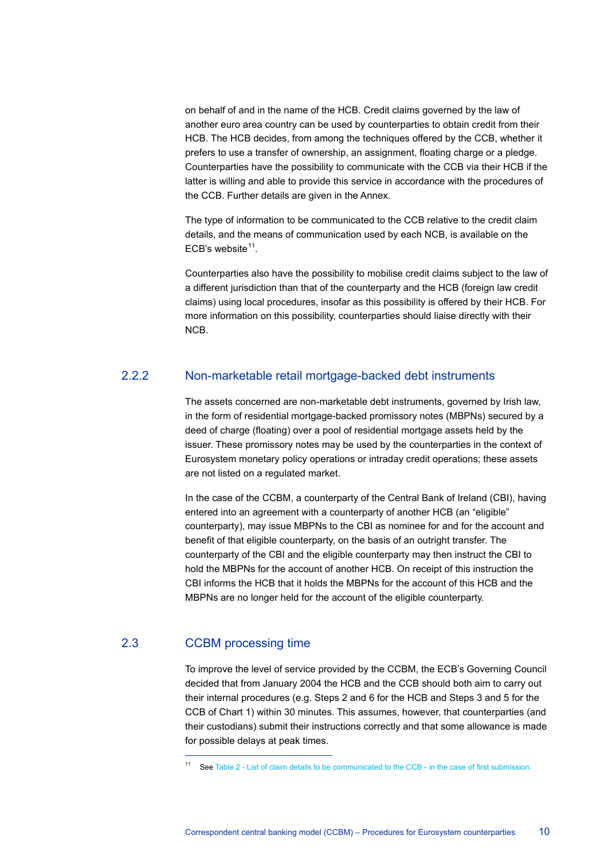on behalf of and in the name of the HCB. Credit claims governed by the law of another euro area country can be used by counterparties to obtain credit from their HCB. The HCB decides, from among the techniques offered by the CCB, whether it prefers to use a transfer of ownership, an assignment, floating charge or a pledge. Counterparties have the possibility to communicate with the CCB via their HCB if the latter is willing and able to provide this service in accordance with the procedures of the CCB. Further details are given in the Annex.

The type of information to be communicated to the CCB relative to the credit claim details, and the means of communication used by each NCB, is available on the ECB's website $11$ .

Counterparties also have the possibility to mobilise credit claims subject to the law of a different jurisdiction than that of the counterparty and the HCB (foreign law credit claims) using local procedures, insofar as this possibility is offered by their HCB. For more information on this possibility, counterparties should liaise directly with their NCB.

## 2.2.2 Non-marketable retail mortgage-backed debt instruments

The assets concerned are non-marketable debt instruments, governed by Irish law, in the form of residential mortgage-backed promissory notes (MBPNs) secured by a deed of charge (floating) over a pool of residential mortgage assets held by the issuer. These promissory notes may be used by the counterparties in the context of Eurosystem monetary policy operations or intraday credit operations; these assets are not listed on a regulated market.

In the case of the CCBM, a counterparty of the Central Bank of Ireland (CBI), having entered into an agreement with a counterparty of another HCB (an "eligible" counterparty), may issue MBPNs to the CBI as nominee for and for the account and benefit of that eligible counterparty, on the basis of an outright transfer. The counterparty of the CBI and the eligible counterparty may then instruct the CBI to hold the MBPNs for the account of another HCB. On receipt of this instruction the CBI informs the HCB that it holds the MBPNs for the account of this HCB and the MBPNs are no longer held for the account of the eligible counterparty.

## <span id="page-9-0"></span>2.3 CCBM processing time

 $\overline{a}$ 

To improve the level of service provided by the CCBM, the ECB's Governing Council decided that from January 2004 the HCB and the CCB should both aim to carry out their internal procedures (e.g. Steps 2 and 6 for the HCB and Steps 3 and 5 for the CCB of Chart 1) within 30 minutes. This assumes, however, that counterparties (and their custodians) submit their instructions correctly and that some allowance is made for possible delays at peak times.

<sup>11</sup> See Table 2 - [List of claim details to be communicated to the CCB -](http://www.ecb.europa.eu/paym/pdf/collateral/Table2_cc_details.pdf) in the case of first submission.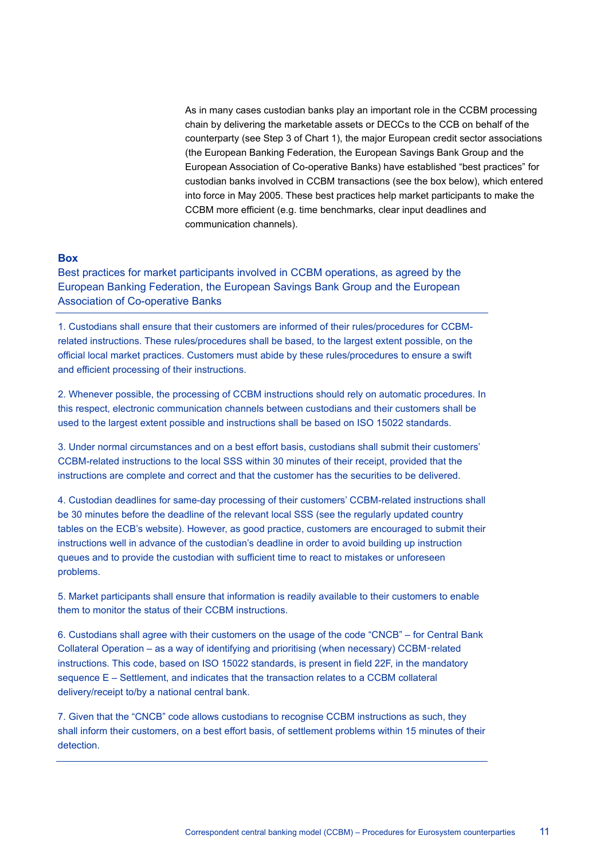As in many cases custodian banks play an important role in the CCBM processing chain by delivering the marketable assets or DECCs to the CCB on behalf of the counterparty (see Step 3 of Chart 1), the major European credit sector associations (the European Banking Federation, the European Savings Bank Group and the European Association of Co-operative Banks) have established "best practices" for custodian banks involved in CCBM transactions (see the box below), which entered into force in May 2005. These best practices help market participants to make the CCBM more efficient (e.g. time benchmarks, clear input deadlines and communication channels).

#### **Box**

Best practices for market participants involved in CCBM operations, as agreed by the European Banking Federation, the European Savings Bank Group and the European Association of Co-operative Banks

1. Custodians shall ensure that their customers are informed of their rules/procedures for CCBMrelated instructions. These rules/procedures shall be based, to the largest extent possible, on the official local market practices. Customers must abide by these rules/procedures to ensure a swift and efficient processing of their instructions.

2. Whenever possible, the processing of CCBM instructions should rely on automatic procedures. In this respect, electronic communication channels between custodians and their customers shall be used to the largest extent possible and instructions shall be based on ISO 15022 standards.

3. Under normal circumstances and on a best effort basis, custodians shall submit their customers' CCBM-related instructions to the local SSS within 30 minutes of their receipt, provided that the instructions are complete and correct and that the customer has the securities to be delivered.

4. Custodian deadlines for same-day processing of their customers' CCBM-related instructions shall be 30 minutes before the deadline of the relevant local SSS (see the regularly updated country tables on the ECB's website). However, as good practice, customers are encouraged to submit their instructions well in advance of the custodian's deadline in order to avoid building up instruction queues and to provide the custodian with sufficient time to react to mistakes or unforeseen problems.

5. Market participants shall ensure that information is readily available to their customers to enable them to monitor the status of their CCBM instructions.

6. Custodians shall agree with their customers on the usage of the code "CNCB" – for Central Bank Collateral Operation – as a way of identifying and prioritising (when necessary) CCBM‑related instructions. This code, based on ISO 15022 standards, is present in field 22F, in the mandatory sequence E – Settlement, and indicates that the transaction relates to a CCBM collateral delivery/receipt to/by a national central bank.

7. Given that the "CNCB" code allows custodians to recognise CCBM instructions as such, they shall inform their customers, on a best effort basis, of settlement problems within 15 minutes of their detection.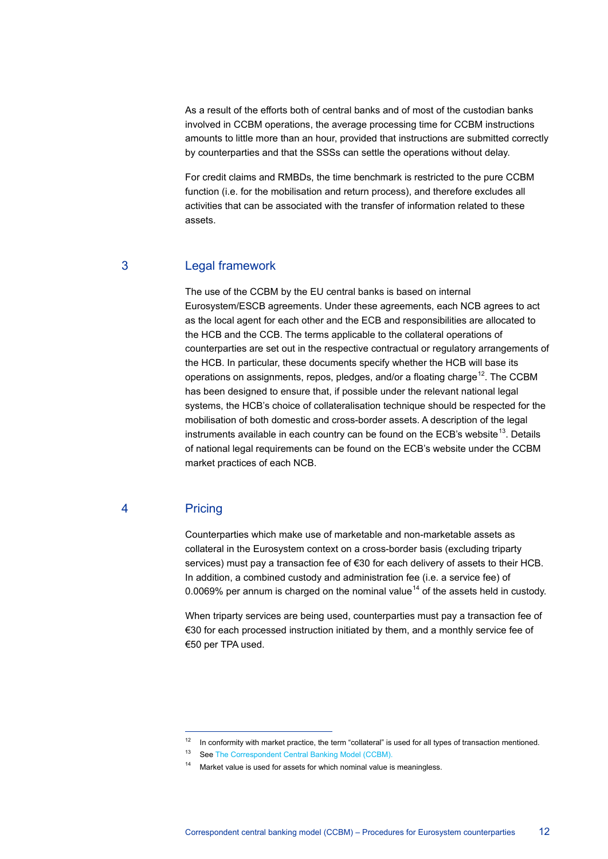As a result of the efforts both of central banks and of most of the custodian banks involved in CCBM operations, the average processing time for CCBM instructions amounts to little more than an hour, provided that instructions are submitted correctly by counterparties and that the SSSs can settle the operations without delay.

For credit claims and RMBDs, the time benchmark is restricted to the pure CCBM function (i.e. for the mobilisation and return process), and therefore excludes all activities that can be associated with the transfer of information related to these assets.

### 3 Legal framework

The use of the CCBM by the EU central banks is based on internal Eurosystem/ESCB agreements. Under these agreements, each NCB agrees to act as the local agent for each other and the ECB and responsibilities are allocated to the HCB and the CCB. The terms applicable to the collateral operations of counterparties are set out in the respective contractual or regulatory arrangements of the HCB. In particular, these documents specify whether the HCB will base its operations on assignments, repos, pledges, and/or a floating charge<sup>12</sup>. The CCBM has been designed to ensure that, if possible under the relevant national legal systems, the HCB's choice of collateralisation technique should be respected for the mobilisation of both domestic and cross-border assets. A description of the legal instruments available in each country can be found on the ECB's website<sup>[13](#page-11-1)</sup>. Details of national legal requirements can be found on the ECB's website under the CCBM market practices of each NCB.

## 4 Pricing

 $\overline{a}$ 

Counterparties which make use of marketable and non-marketable assets as collateral in the Eurosystem context on a cross-border basis (excluding triparty services) must pay a transaction fee of €30 for each delivery of assets to their HCB. In addition, a combined custody and administration fee (i.e. a service fee) of 0.0069% per annum is charged on the nominal value<sup>[14](#page-11-2)</sup> of the assets held in custody.

When triparty services are being used, counterparties must pay a transaction fee of €30 for each processed instruction initiated by them, and a monthly service fee of €50 per TPA used.

 $12$  In conformity with market practice, the term "collateral" is used for all types of transaction mentioned.

<span id="page-11-2"></span><span id="page-11-1"></span><span id="page-11-0"></span><sup>&</sup>lt;sup>13</sup> Se[e The Correspondent Central Banking Model \(CCBM\).](http://www.ecb.europa.eu/paym/ccbm/html/index.en.html)

 $14$  Market value is used for assets for which nominal value is meaningless.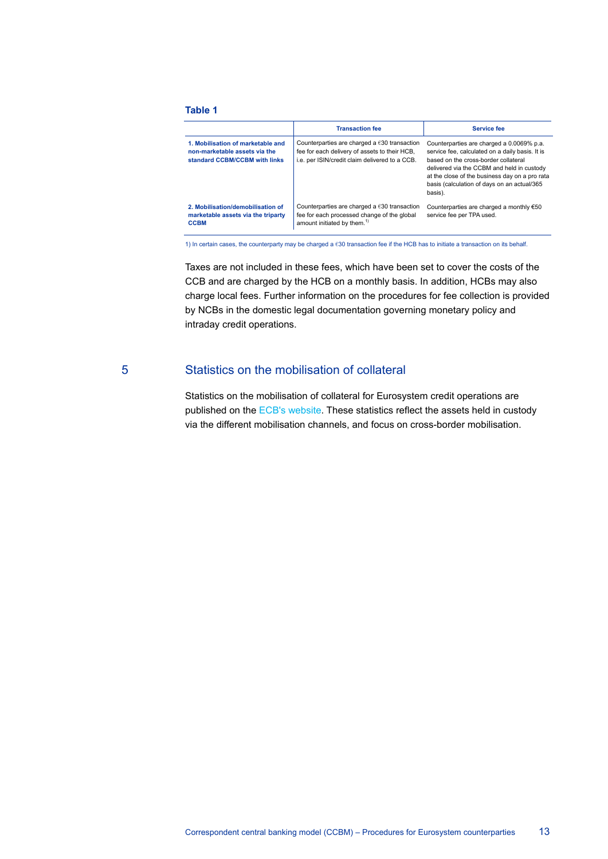#### **Table 1**

|                                                                                                     | <b>Transaction fee</b>                                                                                                                                    | <b>Service fee</b>                                                                                                                                                                                                                                                                             |
|-----------------------------------------------------------------------------------------------------|-----------------------------------------------------------------------------------------------------------------------------------------------------------|------------------------------------------------------------------------------------------------------------------------------------------------------------------------------------------------------------------------------------------------------------------------------------------------|
| 1. Mobilisation of marketable and<br>non-marketable assets via the<br>standard CCBM/CCBM with links | Counterparties are charged a $\epsilon$ 30 transaction<br>fee for each delivery of assets to their HCB,<br>i.e. per ISIN/credit claim delivered to a CCB. | Counterparties are charged a 0.0069% p.a.<br>service fee, calculated on a daily basis. It is<br>based on the cross-border collateral<br>delivered via the CCBM and held in custody<br>at the close of the business day on a pro rata<br>basis (calculation of days on an actual/365<br>basis). |
| 2. Mobilisation/demobilisation of<br>marketable assets via the triparty<br><b>CCBM</b>              | Counterparties are charged a $\epsilon$ 30 transaction<br>fee for each processed change of the global<br>amount initiated by them. <sup>1)</sup>          | Counterparties are charged a monthly €50<br>service fee per TPA used.                                                                                                                                                                                                                          |

1) In certain cases, the counterparty may be charged a €30 transaction fee if the HCB has to initiate a transaction on its behalf.

Taxes are not included in these fees, which have been set to cover the costs of the CCB and are charged by the HCB on a monthly basis. In addition, HCBs may also charge local fees. Further information on the procedures for fee collection is provided by NCBs in the domestic legal documentation governing monetary policy and intraday credit operations.

#### 5 Statistics on the mobilisation of collateral

Statistics on the mobilisation of collateral for Eurosystem credit operations are published on the [ECB's website.](http://www.ecb.europa.eu/) These statistics reflect the assets held in custody via the different mobilisation channels, and focus on cross-border mobilisation.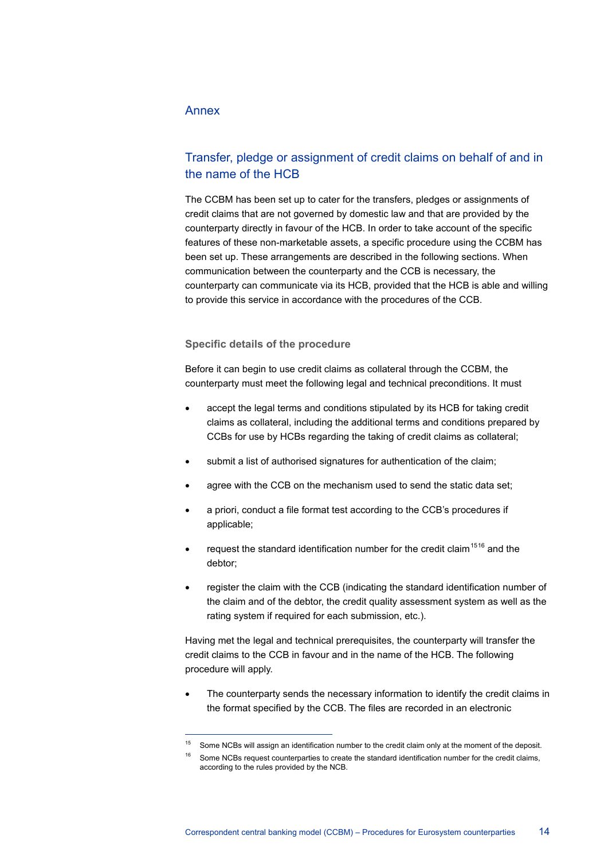## Annex

 $\overline{a}$ 

## Transfer, pledge or assignment of credit claims on behalf of and in the name of the HCB

The CCBM has been set up to cater for the transfers, pledges or assignments of credit claims that are not governed by domestic law and that are provided by the counterparty directly in favour of the HCB. In order to take account of the specific features of these non-marketable assets, a specific procedure using the CCBM has been set up. These arrangements are described in the following sections. When communication between the counterparty and the CCB is necessary, the counterparty can communicate via its HCB, provided that the HCB is able and willing to provide this service in accordance with the procedures of the CCB.

#### **Specific details of the procedure**

Before it can begin to use credit claims as collateral through the CCBM, the counterparty must meet the following legal and technical preconditions. It must

- accept the legal terms and conditions stipulated by its HCB for taking credit claims as collateral, including the additional terms and conditions prepared by CCBs for use by HCBs regarding the taking of credit claims as collateral;
- submit a list of authorised signatures for authentication of the claim;
- agree with the CCB on the mechanism used to send the static data set;
- a priori, conduct a file format test according to the CCB's procedures if applicable;
- request the standard identification number for the credit claim<sup>[15](#page-13-0)[16](#page-13-1)</sup> and the debtor;
- register the claim with the CCB (indicating the standard identification number of the claim and of the debtor, the credit quality assessment system as well as the rating system if required for each submission, etc.).

Having met the legal and technical prerequisites, the counterparty will transfer the credit claims to the CCB in favour and in the name of the HCB. The following procedure will apply.

The counterparty sends the necessary information to identify the credit claims in the format specified by the CCB. The files are recorded in an electronic

<span id="page-13-0"></span><sup>&</sup>lt;sup>15</sup> Some NCBs will assign an identification number to the credit claim only at the moment of the deposit.

<span id="page-13-1"></span>Some NCBs request counterparties to create the standard identification number for the credit claims, according to the rules provided by the NCB.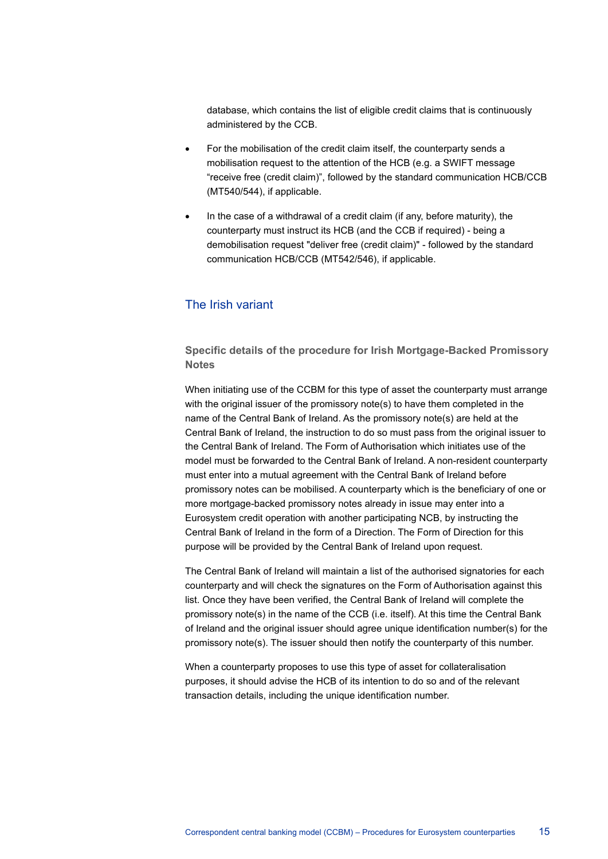database, which contains the list of eligible credit claims that is continuously administered by the CCB.

- For the mobilisation of the credit claim itself, the counterparty sends a mobilisation request to the attention of the HCB (e.g. a SWIFT message "receive free (credit claim)", followed by the standard communication HCB/CCB (MT540/544), if applicable.
- In the case of a withdrawal of a credit claim (if any, before maturity), the counterparty must instruct its HCB (and the CCB if required) - being a demobilisation request "deliver free (credit claim)" - followed by the standard communication HCB/CCB (MT542/546), if applicable.

#### The Irish variant

**Specific details of the procedure for Irish Mortgage-Backed Promissory Notes**

When initiating use of the CCBM for this type of asset the counterparty must arrange with the original issuer of the promissory note(s) to have them completed in the name of the Central Bank of Ireland. As the promissory note(s) are held at the Central Bank of Ireland, the instruction to do so must pass from the original issuer to the Central Bank of Ireland. The Form of Authorisation which initiates use of the model must be forwarded to the Central Bank of Ireland. A non-resident counterparty must enter into a mutual agreement with the Central Bank of Ireland before promissory notes can be mobilised. A counterparty which is the beneficiary of one or more mortgage-backed promissory notes already in issue may enter into a Eurosystem credit operation with another participating NCB, by instructing the Central Bank of Ireland in the form of a Direction. The Form of Direction for this purpose will be provided by the Central Bank of Ireland upon request.

The Central Bank of Ireland will maintain a list of the authorised signatories for each counterparty and will check the signatures on the Form of Authorisation against this list. Once they have been verified, the Central Bank of Ireland will complete the promissory note(s) in the name of the CCB (i.e. itself). At this time the Central Bank of Ireland and the original issuer should agree unique identification number(s) for the promissory note(s). The issuer should then notify the counterparty of this number.

When a counterparty proposes to use this type of asset for collateralisation purposes, it should advise the HCB of its intention to do so and of the relevant transaction details, including the unique identification number.